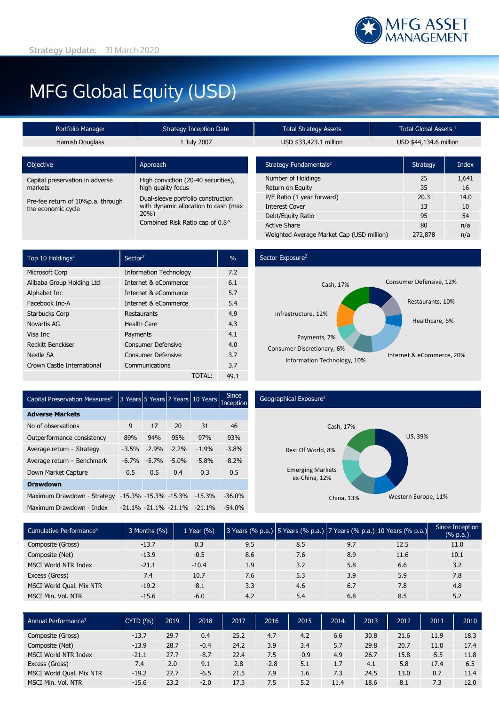# MFG Global Equity (USD)

| Portfolio Manager               | <b>Strategy Inception Date</b>      | <b>Total Strategy Assets</b>       |    | Total Global Assets <sup>1</sup> |       |  |  |
|---------------------------------|-------------------------------------|------------------------------------|----|----------------------------------|-------|--|--|
| <b>Hamish Douglass</b>          | 1 July 2007                         | USD \$33,423.1 million             |    | USD \$44,134.6 million           |       |  |  |
|                                 |                                     |                                    |    |                                  |       |  |  |
| Objective                       | Approach                            | Strategy Fundamentals <sup>2</sup> |    | Strategy                         | Index |  |  |
| Capital preservation in adverse | High conviction (20-40 securities), | Number of Holdings                 |    | 25                               | 1,641 |  |  |
| high quality focus<br>markets   |                                     | Return on Equity                   | 35 | 16                               |       |  |  |

| markets                                                 | high quality focus                                                                |
|---------------------------------------------------------|-----------------------------------------------------------------------------------|
| Pre-fee return of 10%p.a. through<br>the economic cycle | Dual-sleeve portfolio construction<br>with dynamic allocation to cash (max<br>20% |
|                                                         | Combined Risk Ratio cap of 0.8^                                                   |

| Strategy Fundamentals <sup>2</sup>        | <b>Strategy</b> | Index |
|-------------------------------------------|-----------------|-------|
| Number of Holdings                        | 25              | 1,641 |
| Return on Equity                          | 35              | 16    |
| P/E Ratio (1 year forward)                | 20.3            | 14.0  |
| <b>Interest Cover</b>                     | 13              | 10    |
| Debt/Equity Ratio                         | 95              | 54    |
| <b>Active Share</b>                       | 80              | n/a   |
| Weighted Average Market Cap (USD million) | 272,878         | n/a   |

| Top 10 Holdings <sup>2</sup> | Sector <sup>2</sup>           | $\%$ |
|------------------------------|-------------------------------|------|
| Microsoft Corp               | <b>Information Technology</b> | 7.2  |
| Alibaba Group Holding Ltd    | Internet & eCommerce          | 6.1  |
| Alphabet Inc                 | Internet & eCommerce          | 5.7  |
| Facebook Inc-A               | Internet & eCommerce          | 5.4  |
| <b>Starbucks Corp</b>        | Restaurants                   | 4.9  |
| Novartis AG                  | <b>Health Care</b>            | 4.3  |
| Visa Inc                     | Payments                      | 4.1  |
| <b>Reckitt Benckiser</b>     | <b>Consumer Defensive</b>     | 4.0  |
| Nestle SA                    | <b>Consumer Defensive</b>     | 3.7  |
| Crown Castle International   | Communications                | 3.7  |
|                              | TOTAL:                        | 49.1 |

### Sector Exposure<sup>2</sup>



| Capital Preservation Measures <sup>3</sup> |         |                           | 3 Years 5 Years 7 Years | 10 Years | <b>Since</b><br>Inception |
|--------------------------------------------|---------|---------------------------|-------------------------|----------|---------------------------|
| <b>Adverse Markets</b>                     |         |                           |                         |          |                           |
| No of observations                         | 9       | 17                        | 20                      | 31       | 46                        |
| Outperformance consistency                 | 89%     | 94%                       | 95%                     | 97%      | 93%                       |
| Average return - Strategy                  | $-3.5%$ | $-2.9%$                   | $-2.2%$                 | $-1.9%$  | $-3.8%$                   |
| Average return - Benchmark                 | $-6.7%$ | $-5.7%$                   | $-5.0%$                 | $-5.8%$  | $-8.2%$                   |
| Down Market Capture                        | 0.5     | 0.5                       | 0.4                     | 0.3      | 0.5                       |
| <b>Drawdown</b>                            |         |                           |                         |          |                           |
| Maximum Drawdown - Strategy                |         | -15.3% -15.3% -15.3%      |                         | $-15.3%$ | $-36.0%$                  |
| Maximum Drawdown - Index                   |         | $-21.1\% -21.1\% -21.1\%$ |                         | $-21.1%$ | $-54.0%$                  |
|                                            |         |                           |                         |          |                           |

## Geographical Exposure2



| Cumulative Performance <sup>3</sup> | 3 Months (%) | 1 Year (%) |     |     |     | 3 Years (% p.a.) 5 Years (% p.a.) 7 Years (% p.a.) 10 Years (% p.a.) | Since Inception<br>(% p.a.) |
|-------------------------------------|--------------|------------|-----|-----|-----|----------------------------------------------------------------------|-----------------------------|
| Composite (Gross)                   | $-13.7$      | 0.3        | 9.5 | 8.5 | 9.7 | 12.5                                                                 | 11.0                        |
| Composite (Net)                     | $-13.9$      | $-0.5$     | 8.6 | 7.6 | 8.9 | 11.6                                                                 | 10.1                        |
| MSCI World NTR Index                | $-21.1$      | $-10.4$    | 1.9 | 3.2 | 5.8 | 6.6                                                                  | 3.2                         |
| Excess (Gross)                      | 7.4          | 10.7       | 7.6 | 5.3 | 3.9 | 5.9                                                                  | 7.8                         |
| MSCI World Qual. Mix NTR            | $-19.2$      | $-8.1$     | 3.3 | 4.6 | 6.7 | 7.8                                                                  | 4.8                         |
| MSCI Min. Vol. NTR                  | $-15.6$      | $-6.0$     | 4.2 | 5.4 | 6.8 | 8.5                                                                  | 5.2                         |

| Annual Performance <sup>3</sup> | $CYTD($ % $)$ | 2019 | 2018   | 2017 | 2016   | 2015   | 2014 | 2013 | 2012 | 2011   | 2010 |
|---------------------------------|---------------|------|--------|------|--------|--------|------|------|------|--------|------|
| Composite (Gross)               | $-13.7$       | 29.7 | 0.4    | 25.2 | 4.7    | 4.2    | 6.6  | 30.8 | 21.6 | 11.9   | 18.3 |
| Composite (Net)                 | $-13.9$       | 28.7 | $-0.4$ | 24.2 | 3.9    | 3.4    | 5.7  | 29.8 | 20.7 | 11.0   | 17.4 |
| <b>MSCI World NTR Index</b>     | $-21.1$       | 27.7 | $-8.7$ | 22.4 | 7.5    | $-0.9$ | 4.9  | 26.7 | 15.8 | $-5.5$ | 11.8 |
| Excess (Gross)                  | 7.4           | 2.0  | 9.1    | 2.8  | $-2.8$ | 5.1    | 1.7  | 4.1  | 5.8  | 17.4   | 6.5  |
| MSCI World Qual. Mix NTR        | $-19.2$       | 27.7 | $-6.5$ | 21.5 | 7.9    | 1.6    | 7.3  | 24.5 | 13.0 | 0.7    | 11.4 |
| MSCI Min. Vol. NTR              | $-15.6$       | 23.2 | $-2.0$ | 17.3 | 7.5    | 5.2    | 11.4 | 18.6 | 8.1  | 7.3    | 12.0 |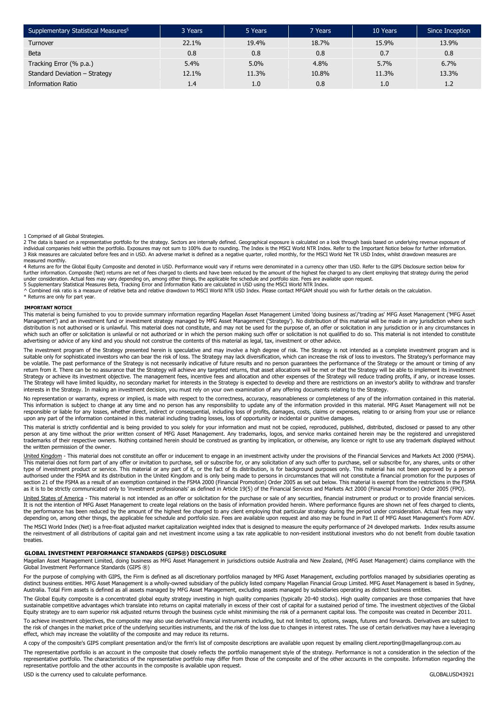| Supplementary Statistical Measures <sup>5</sup> | 3 Years | 5 Years | 7 Years | 10 Years | Since Inception |
|-------------------------------------------------|---------|---------|---------|----------|-----------------|
| Turnover                                        | 22.1%   | 19.4%   | 18.7%   | 15.9%    | 13.9%           |
| <b>Beta</b>                                     | 0.8     | 0.8     | 0.8     | 0.7      | 0.8             |
| Tracking Error (% p.a.)                         | 5.4%    | 5.0%    | $4.8\%$ | 5.7%     | 6.7%            |
| Standard Deviation - Strategy                   | 12.1%   | 11.3%   | 10.8%   | 11.3%    | 13.3%           |
| Information Ratio                               | 1.4     | 1.0     | 0.8     | 1.0      | 1.2             |

1 Comprised of all Global Strategies.

2 The data is based on a representative portfolio for the strategy. Sectors are internally defined. Geographical exposure is calculated on a look through basis based on underlying revenue exposure of individual companies held within the portfolio. Exposures may not sum to 100% due to rounding. The Index is the MSCI World NTR Index. Refer to the Important Notice below for further information.<br>3 Risk measures are calcula measured monthly.

4 Returns are for the Global Equity Composite and denoted in USD. Performance would vary if returns were denominated in a currency other than USD. Refer to the GIPS Disclosure section below for<br>further information. Composi

under consideration. Actual fees may vary depending on, among other things, the applicable fee schedule and portfolio size. Fees are available upon request.<br>5 Supplementary Statistical Measures Beta, Tracking Error and Inf

\* Returns are only for part year.

#### **IMPORTANT NOTICE**

This material is being furnished to you to provide summary information regarding Magellan Asset Management Limited 'doing business as'/'trading as' MFG Asset Management ('MFG Asset Management') and an investment fund or investment strategy managed by MFG Asset Management ('Strategy'). No distribution of this material will be made in any jurisdiction where such distribution is not authorised or is unlawful. This material does not constitute, and may not be used for the purpose of, an offer or solicitation in any jurisdiction or in any circumstances in which such an offer or solicitation is unlawful or not authorized or in which the person making such offer or solicitation is not qualified to do so. This material is not intended to constitute<br>advertising or advice of any

The investment program of the Strategy presented herein is speculative and may involve a high degree of risk. The Strategy is not intended as a complete investment program and is suitable only for sophisticated investors who can bear the risk of loss. The Strategy may lack diversification, which can increase the risk of loss to investors. The Strategy's performance may be volatile. The past performance of the Strategy is not necessarily indicative of future results and no person guarantees the performance of the Strategy or the amount or timing of any return from it. There can be no assurance that the Strategy will achieve any targeted returns, that asset allocations will be met or that the Strategy will be able to implement its investment Strategy or achieve its investment objective. The management fees, incentive fees and allocation and other expenses of the Strategy will reduce trading profits, if any, or increase losses. The Strategy will have limited liquidity, no secondary market for interests in the Strategy is expected to develop and there are restrictions on an investor's ability to withdraw and transfer interests in the Strategy. In making an investment decision, you must rely on your own examination of any offering documents relating to the Strategy.

No representation or warranty, express or implied, is made with respect to the correctness, accuracy, reasonableness or completeness of any of the information contained in this material. This information is subject to change at any time and no person has any responsibility to update any of the information provided in this material. MFG Asset Management will not be<br>responsible or liable for any losses, whet upon any part of the information contained in this material including trading losses, loss of opportunity or incidental or punitive damages.

This material is strictly confidential and is being provided to you solely for your information and must not be copied, reproduced, published, distributed, disclosed or passed to any other person at any time without the prior written consent of MFG Asset Management. Any trademarks, logos, and service marks contained herein may be the registered and unregistered trademarks of their respective owners. Nothing contained herein should be construed as granting by implication, or otherwise, any licence or right to use any trademark displayed without the written permission of the owner.

United Kingdom - This material does not constitute an offer or inducement to engage in an investment activity under the provisions of the Financial Services and Markets Act 2000 (FSMA). This material does not form part of any offer or invitation to purchase, sell or subscribe for, or any solicitation of any such offer to purchase, sell or subscribe for, any shares, units or other type of investment product or service. This material or any part of it, or the fact of its distribution, is for background purposes only. This material has not been approved by a person authorised under the FSMA and its distribution in the United Kingdom and is only being made to persons in circumstances that will not constitute a financial promotion for the purposes of section 21 of the FSMA as a result of an exemption contained in the FSMA 2000 (Financial Promotion) Order 2005 as set out below. This material is exempt from the restrictions in the FSMA<br>as it is to be strictly communicate

United States of America - This material is not intended as an offer or solicitation for the purchase or sale of any securities, financial instrument or product or to provide financial services. It is not the intention of MFG Asset Management to create legal relations on the basis of information provided herein. Where performance figures are shown net of fees charged to clients, the performance has been reduced by the amount of the highest fee charged to any client employing that particular strategy during the period under consideration. Actual fees may vary depending on, among other things, the applicable fee schedule and portfolio size. Fees are available upon request and also may be found in Part II of MFG Asset Management's Form ADV.

The MSCI World Index (Net) is a free-float adjusted market capitalization weighted index that is designed to measure the equity performance of 24 developed markets. Index results assume<br>the reinvestment of all distribution treaties.

#### **GLOBAL INVESTMENT PERFORMANCE STANDARDS (GIPS®) DISCLOSURE**

Magellan Asset Management Limited, doing business as MFG Asset Management in jurisdictions outside Australia and New Zealand, (MFG Asset Management) claims compliance with the Global Investment Performance Standards (GIPS ®)

For the purpose of complying with GIPS, the Firm is defined as all discretionary portfolios managed by MFG Asset Management, excluding portfolios managed by subsidiaries operating as<br>distinct business entities. MFG Asset M Australia. Total Firm assets is defined as all assets managed by MFG Asset Management, excluding assets managed by subsidiaries operating as distinct business entities.

The Global Equity composite is a concentrated global equity strategy investing in high quality companies (typically 20-40 stocks). High quality companies are those companies that have sustainable competitive advantages which translate into returns on capital materially in excess of their cost of capital for a sustained period of time. The investment objectives of the Global Equity strategy are to earn superior risk adjusted returns through the business cycle whilst minimising the risk of a permanent capital loss. The composite was created in December 2011.

To achieve investment objectives, the composite may also use derivative financial instruments including, but not limited to, options, swaps, futures and forwards. Derivatives are subject to<br>the risk of changes in the marke effect, which may increase the volatility of the composite and may reduce its returns.

A copy of the composite's GIPS compliant presentation and/or the firm's list of composite descriptions are available upon request by emailing client.reporting@magellangroup.com.au The representative portfolio is an account in the composite that closely reflects the portfolio management style of the strategy. Performance is not a consideration in the selection of the representative portfolio. The characteristics of the representative portfolio may differ from those of the composite and of the other accounts in the composite. Information regarding the representative portfolio and the other accounts in the composite is available upon request.

USD is the currency used to calculate performance. GLOBALUSD43921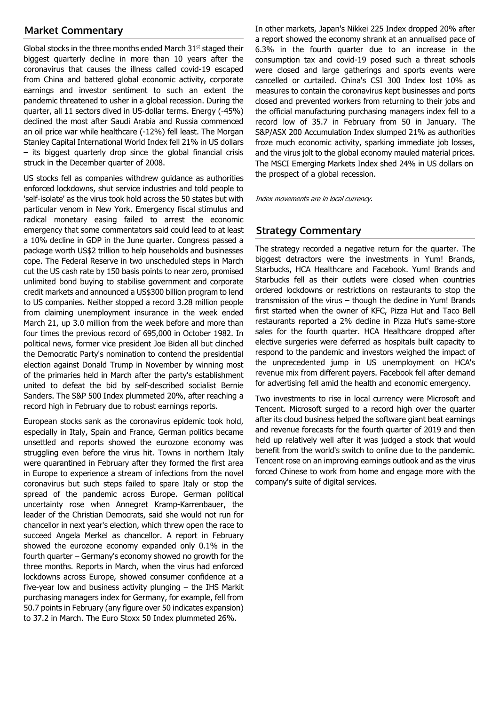# **Market Commentary**

Global stocks in the three months ended March  $31<sup>st</sup>$  staged their biggest quarterly decline in more than 10 years after the coronavirus that causes the illness called covid-19 escaped from China and battered global economic activity, corporate earnings and investor sentiment to such an extent the pandemic threatened to usher in a global recession. During the quarter, all 11 sectors dived in US-dollar terms. Energy (-45%) declined the most after Saudi Arabia and Russia commenced an oil price war while healthcare (-12%) fell least. The Morgan Stanley Capital International World Index fell 21% in US dollars – its biggest quarterly drop since the global financial crisis struck in the December quarter of 2008.

US stocks fell as companies withdrew guidance as authorities enforced lockdowns, shut service industries and told people to 'self-isolate' as the virus took hold across the 50 states but with particular venom in New York. Emergency fiscal stimulus and radical monetary easing failed to arrest the economic emergency that some commentators said could lead to at least a 10% decline in GDP in the June quarter. Congress passed a package worth US\$2 trillion to help households and businesses cope. The Federal Reserve in two unscheduled steps in March cut the US cash rate by 150 basis points to near zero, promised unlimited bond buying to stabilise government and corporate credit markets and announced a US\$300 billion program to lend to US companies. Neither stopped a record 3.28 million people from claiming unemployment insurance in the week ended March 21, up 3.0 million from the week before and more than four times the previous record of 695,000 in October 1982. In political news, former vice president Joe Biden all but clinched the Democratic Party's nomination to contend the presidential election against Donald Trump in November by winning most of the primaries held in March after the party's establishment united to defeat the bid by self-described socialist Bernie Sanders. The S&P 500 Index plummeted 20%, after reaching a record high in February due to robust earnings reports.

European stocks sank as the coronavirus epidemic took hold, especially in Italy, Spain and France, German politics became unsettled and reports showed the eurozone economy was struggling even before the virus hit. Towns in northern Italy were quarantined in February after they formed the first area in Europe to experience a stream of infections from the novel coronavirus but such steps failed to spare Italy or stop the spread of the pandemic across Europe. German political uncertainty rose when Annegret Kramp-Karrenbauer, the leader of the Christian Democrats, said she would not run for chancellor in next year's election, which threw open the race to succeed Angela Merkel as chancellor. A report in February showed the eurozone economy expanded only 0.1% in the fourth quarter – Germany's economy showed no growth for the three months. Reports in March, when the virus had enforced lockdowns across Europe, showed consumer confidence at a five-year low and business activity plunging – the IHS Markit purchasing managers index for Germany, for example, fell from 50.7 points in February (any figure over 50 indicates expansion) to 37.2 in March. The Euro Stoxx 50 Index plummeted 26%.

In other markets, Japan's Nikkei 225 Index dropped 20% after a report showed the economy shrank at an annualised pace of 6.3% in the fourth quarter due to an increase in the consumption tax and covid-19 posed such a threat schools were closed and large gatherings and sports events were cancelled or curtailed. China's CSI 300 Index lost 10% as measures to contain the coronavirus kept businesses and ports closed and prevented workers from returning to their jobs and the official manufacturing purchasing managers index fell to a record low of 35.7 in February from 50 in January. The S&P/ASX 200 Accumulation Index slumped 21% as authorities froze much economic activity, sparking immediate job losses, and the virus jolt to the global economy mauled material prices. The MSCI Emerging Markets Index shed 24% in US dollars on the prospect of a global recession.

Index movements are in local currency.

# **Strategy Commentary**

The strategy recorded a negative return for the quarter. The biggest detractors were the investments in Yum! Brands, Starbucks, HCA Healthcare and Facebook. Yum! Brands and Starbucks fell as their outlets were closed when countries ordered lockdowns or restrictions on restaurants to stop the transmission of the virus – though the decline in Yum! Brands first started when the owner of KFC, Pizza Hut and Taco Bell restaurants reported a 2% decline in Pizza Hut's same-store sales for the fourth quarter. HCA Healthcare dropped after elective surgeries were deferred as hospitals built capacity to respond to the pandemic and investors weighed the impact of the unprecedented jump in US unemployment on HCA's revenue mix from different payers. Facebook fell after demand for advertising fell amid the health and economic emergency.

Two investments to rise in local currency were Microsoft and Tencent. Microsoft surged to a record high over the quarter after its cloud business helped the software giant beat earnings and revenue forecasts for the fourth quarter of 2019 and then held up relatively well after it was judged a stock that would benefit from the world's switch to online due to the pandemic. Tencent rose on an improving earnings outlook and as the virus forced Chinese to work from home and engage more with the company's suite of digital services.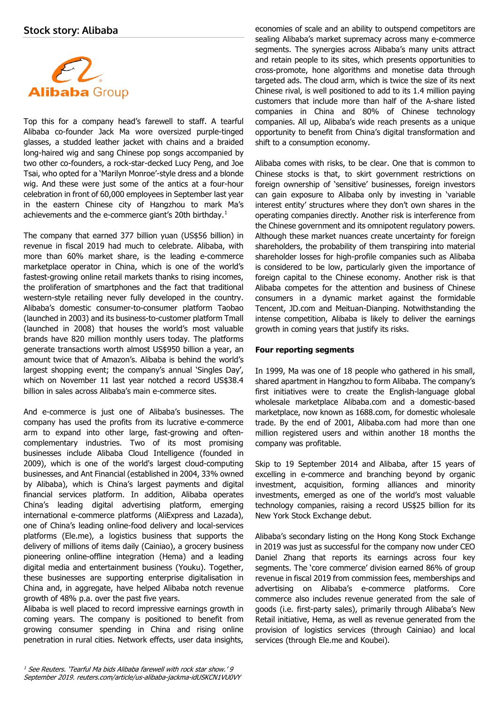

Top this for a company head's farewell to staff. A tearful Alibaba co-founder Jack Ma wore oversized purple-tinged glasses, a studded leather jacket with chains and a braided long-haired wig and sang Chinese pop songs accompanied by two other co-founders, a rock-star-decked Lucy Peng, and Joe Tsai, who opted for a 'Marilyn Monroe'-style dress and a blonde wig. And these were just some of the antics at a four-hour celebration in front of 60,000 employees in September last year in the eastern Chinese city of Hangzhou to mark Ma's achievements and the e-commerce giant's 20th birthday.[1](#page-3-0)

The company that earned 377 billion yuan (US\$56 billion) in revenue in fiscal 2019 had much to celebrate. Alibaba, with more than 60% market share, is the leading e-commerce marketplace operator in China, which is one of the world's fastest-growing online retail markets thanks to rising incomes, the proliferation of smartphones and the fact that traditional western-style retailing never fully developed in the country. Alibaba's domestic consumer-to-consumer platform Taobao (launched in 2003) and its business-to-customer platform Tmall (launched in 2008) that houses the world's most valuable brands have 820 million monthly users today. The platforms generate transactions worth almost US\$950 billion a year, an amount twice that of Amazon's. Alibaba is behind the world's largest shopping event; the company's annual 'Singles Day', which on November 11 last year notched a record US\$38.4 billion in sales across Alibaba's main e-commerce sites.

And e-commerce is just one of Alibaba's businesses. The company has used the profits from its lucrative e-commerce arm to expand into other large, fast-growing and oftencomplementary industries. Two of its most promising businesses include Alibaba Cloud Intelligence (founded in 2009), which is one of the world's largest cloud-computing businesses, and Ant Financial (established in 2004, 33% owned by Alibaba), which is China's largest payments and digital financial services platform. In addition, Alibaba operates China's leading digital advertising platform, emerging international e-commerce platforms (AliExpress and Lazada), one of China's leading online-food delivery and local-services platforms (Ele.me), a logistics business that supports the delivery of millions of items daily (Cainiao), a grocery business pioneering online-offline integration (Hema) and a leading digital media and entertainment business (Youku). Together, these businesses are supporting enterprise digitalisation in China and, in aggregate, have helped Alibaba notch revenue growth of 48% p.a. over the past five years.

<span id="page-3-0"></span>Alibaba is well placed to record impressive earnings growth in coming years. The company is positioned to benefit from growing consumer spending in China and rising online penetration in rural cities. Network effects, user data insights,

economies of scale and an ability to outspend competitors are sealing Alibaba's market supremacy across many e-commerce segments. The synergies across Alibaba's many units attract and retain people to its sites, which presents opportunities to cross-promote, hone algorithms and monetise data through targeted ads. The cloud arm, which is twice the size of its next Chinese rival, is well positioned to add to its 1.4 million paying customers that include more than half of the A-share listed companies in China and 80% of Chinese technology companies. All up, Alibaba's wide reach presents as a unique opportunity to benefit from China's digital transformation and shift to a consumption economy.

Alibaba comes with risks, to be clear. One that is common to Chinese stocks is that, to skirt government restrictions on foreign ownership of 'sensitive' businesses, foreign investors can gain exposure to Alibaba only by investing in 'variable interest entity' structures where they don't own shares in the operating companies directly. Another risk is interference from the Chinese government and its omnipotent regulatory powers. Although these market nuances create uncertainty for foreign shareholders, the probability of them transpiring into material shareholder losses for high-profile companies such as Alibaba is considered to be low, particularly given the importance of foreign capital to the Chinese economy. Another risk is that Alibaba competes for the attention and business of Chinese consumers in a dynamic market against the formidable Tencent, JD.com and Meituan-Dianping. Notwithstanding the intense competition, Alibaba is likely to deliver the earnings growth in coming years that justify its risks.

## **Four reporting segments**

In 1999, Ma was one of 18 people who gathered in his small, shared apartment in Hangzhou to form Alibaba. The company's first initiatives were to create the English-language global wholesale marketplace Alibaba.com and a domestic-based marketplace, now known as 1688.com, for domestic wholesale trade. By the end of 2001, Alibaba.com had more than one million registered users and within another 18 months the company was profitable.

Skip to 19 September 2014 and Alibaba, after 15 years of excelling in e-commerce and branching beyond by organic investment, acquisition, forming alliances and minority investments, emerged as one of the world's most valuable technology companies, raising a record US\$25 billion for its New York Stock Exchange debut.

Alibaba's secondary listing on the Hong Kong Stock Exchange in 2019 was just as successful for the company now under CEO Daniel Zhang that reports its earnings across four key segments. The 'core commerce' division earned 86% of group revenue in fiscal 2019 from commission fees, memberships and advertising on Alibaba's e-commerce platforms. Core commerce also includes revenue generated from the sale of goods (i.e. first-party sales), primarily through Alibaba's New Retail initiative, Hema, as well as revenue generated from the provision of logistics services (through Cainiao) and local services (through Ele.me and Koubei).